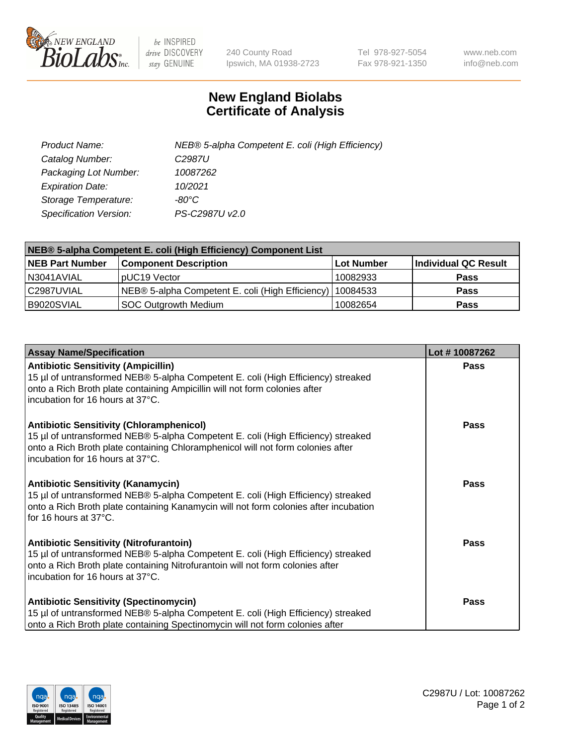

 $be$  INSPIRED drive DISCOVERY stay GENUINE

240 County Road Ipswich, MA 01938-2723 Tel 978-927-5054 Fax 978-921-1350 www.neb.com info@neb.com

## **New England Biolabs Certificate of Analysis**

| Product Name:           | NEB® 5-alpha Competent E. coli (High Efficiency) |
|-------------------------|--------------------------------------------------|
| Catalog Number:         | C <sub>2987</sub> U                              |
| Packaging Lot Number:   | 10087262                                         |
| <b>Expiration Date:</b> | 10/2021                                          |
| Storage Temperature:    | -80°C                                            |
| Specification Version:  | PS-C2987U v2.0                                   |

| NEB® 5-alpha Competent E. coli (High Efficiency) Component List |                                                  |            |                      |  |
|-----------------------------------------------------------------|--------------------------------------------------|------------|----------------------|--|
| <b>NEB Part Number</b>                                          | <b>Component Description</b>                     | Lot Number | Individual QC Result |  |
| N3041AVIAL                                                      | pUC19 Vector                                     | 10082933   | <b>Pass</b>          |  |
| C2987UVIAL                                                      | NEB® 5-alpha Competent E. coli (High Efficiency) | 10084533   | <b>Pass</b>          |  |
| B9020SVIAL                                                      | <b>SOC Outgrowth Medium</b>                      | 10082654   | <b>Pass</b>          |  |

| <b>Assay Name/Specification</b>                                                                                                                                                                                                                            | Lot #10087262 |
|------------------------------------------------------------------------------------------------------------------------------------------------------------------------------------------------------------------------------------------------------------|---------------|
| <b>Antibiotic Sensitivity (Ampicillin)</b><br>15 µl of untransformed NEB® 5-alpha Competent E. coli (High Efficiency) streaked<br>onto a Rich Broth plate containing Ampicillin will not form colonies after<br>incubation for 16 hours at 37°C.           | <b>Pass</b>   |
| <b>Antibiotic Sensitivity (Chloramphenicol)</b><br>15 µl of untransformed NEB® 5-alpha Competent E. coli (High Efficiency) streaked<br>onto a Rich Broth plate containing Chloramphenicol will not form colonies after<br>incubation for 16 hours at 37°C. | Pass          |
| Antibiotic Sensitivity (Kanamycin)<br>15 µl of untransformed NEB® 5-alpha Competent E. coli (High Efficiency) streaked<br>onto a Rich Broth plate containing Kanamycin will not form colonies after incubation<br>for 16 hours at 37°C.                    | Pass          |
| <b>Antibiotic Sensitivity (Nitrofurantoin)</b><br>15 µl of untransformed NEB® 5-alpha Competent E. coli (High Efficiency) streaked<br>onto a Rich Broth plate containing Nitrofurantoin will not form colonies after<br>incubation for 16 hours at 37°C.   | <b>Pass</b>   |
| <b>Antibiotic Sensitivity (Spectinomycin)</b><br>15 µl of untransformed NEB® 5-alpha Competent E. coli (High Efficiency) streaked<br>onto a Rich Broth plate containing Spectinomycin will not form colonies after                                         | Pass          |